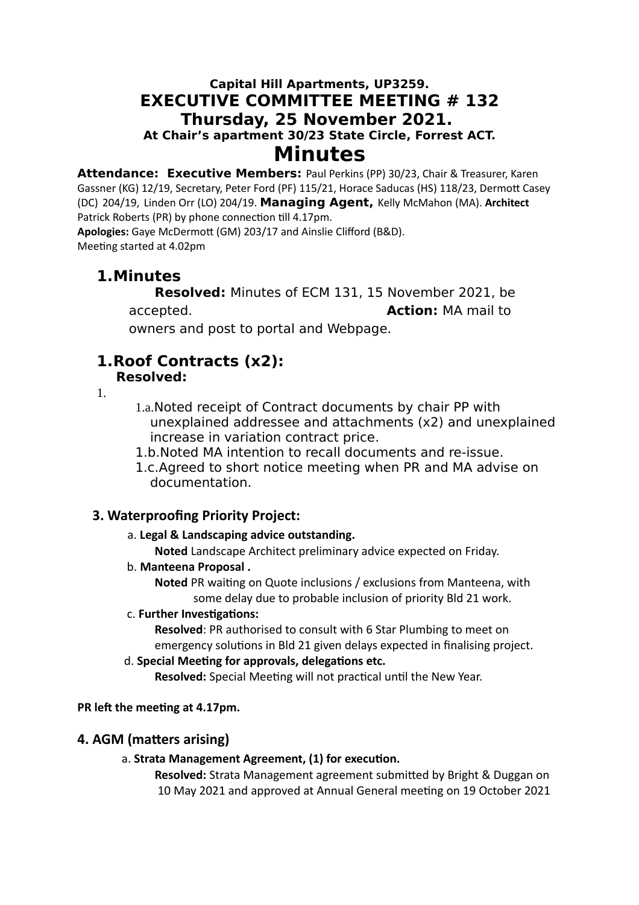## **Capital Hill Apartments, UP3259. EXECUTIVE COMMITTEE MEETING # 132 Thursday, 25 November 2021. At Chair's apartment 30/23 State Circle, Forrest ACT. Minutes**

**Attendance: Executive Members:** Paul Perkins (PP) 30/23, Chair & Treasurer, Karen Gassner (KG) 12/19, Secretary, Peter Ford (PF) 115/21, Horace Saducas (HS) 118/23, Dermott Casey (DC) 204/19, Linden Orr (LO) 204/19. **Managing Agent,** Kelly McMahon (MA). **Architect** Patrick Roberts (PR) by phone connection till 4.17pm.

**Apologies:** Gaye McDermott (GM) 203/17 and Ainslie Clifford (B&D). Meeting started at 4.02pm

# **1.Minutes**

**Resolved:** Minutes of ECM 131, 15 November 2021, be accepted. **Action:** MA mail to

owners and post to portal and Webpage.

#### **1.Roof Contracts (x2): Resolved:**

1.

- 1.a.Noted receipt of Contract documents by chair PP with unexplained addressee and attachments (x2) and unexplained increase in variation contract price.
- 1.b.Noted MA intention to recall documents and re-issue.
- 1.c.Agreed to short notice meeting when PR and MA advise on documentation.

## **3. Waterproofing Priority Project:**

a. **Legal & Landscaping advice outstanding.** 

**Noted** Landscape Architect preliminary advice expected on Friday.

## b. **Manteena Proposal .**

**Noted** PR waiting on Quote inclusions / exclusions from Manteena, with some delay due to probable inclusion of priority Bld 21 work.

c. **Further Investigations:** 

**Resolved**: PR authorised to consult with 6 Star Plumbing to meet on emergency solutions in Bld 21 given delays expected in finalising project.

d. **Special Meeting for approvals, delegations etc.**

**Resolved:** Special Meeting will not practical until the New Year.

## **PR left the meeting at 4.17pm.**

## **4. AGM (matters arising)**

## a. **Strata Management Agreement, (1) for execution.**

**Resolved:** Strata Management agreement submitted by Bright & Duggan on 10 May 2021 and approved at Annual General meeting on 19 October 2021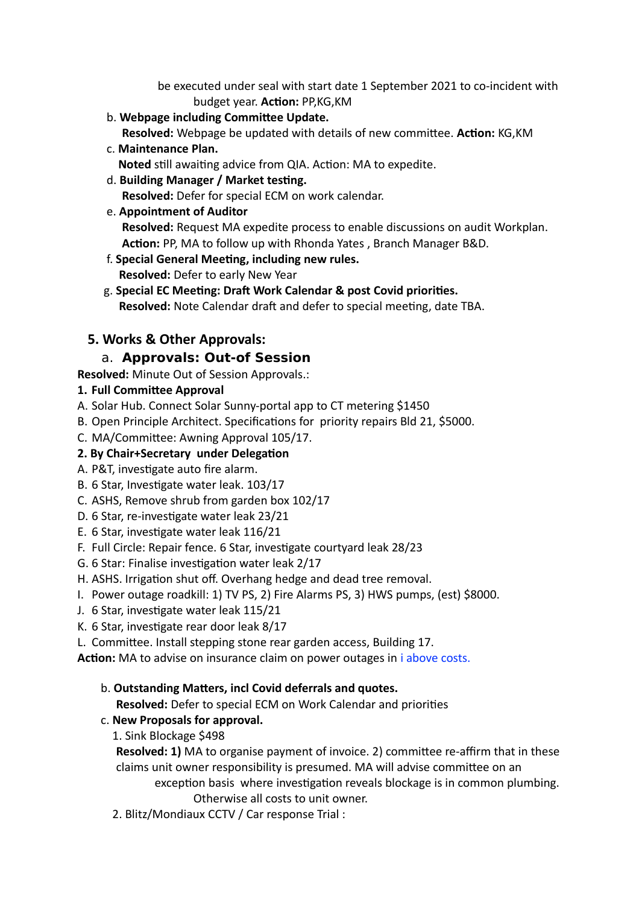be executed under seal with start date 1 September 2021 to co-incident with budget year. **Action:** PP,KG,KM

b. **Webpage including Committee Update.**

 **Resolved:** Webpage be updated with details of new committee. **Action:** KG,KM

c. **Maintenance Plan.**

 **Noted** still awaiting advice from QIA. Action: MA to expedite.

d. **Building Manager / Market testing.**

 **Resolved:** Defer for special ECM on work calendar.

e. **Appointment of Auditor**

 **Resolved:** Request MA expedite process to enable discussions on audit Workplan.  **Action:** PP, MA to follow up with Rhonda Yates , Branch Manager B&D.

- f. **Special General Meeting, including new rules. Resolved:** Defer to early New Year
- g. **Special EC Meeting: Draft Work Calendar & post Covid priorities. Resolved:** Note Calendar draft and defer to special meeting, date TBA.

## **5. Works & Other Approvals:**

## a. **Approvals: Out-of Session**

**Resolved:** Minute Out of Session Approvals.:

## **1. Full Committee Approval**

- A. Solar Hub. Connect Solar Sunny-portal app to CT metering \$1450
- B. Open Principle Architect. Specifications for priority repairs Bld 21, \$5000.
- C. MA/Committee: Awning Approval 105/17.

### **2. By Chair+Secretary under Delegation**

- A. P&T, investigate auto fire alarm.
- B. 6 Star, Investigate water leak. 103/17
- C. ASHS, Remove shrub from garden box 102/17
- D. 6 Star, re-investigate water leak 23/21
- E. 6 Star, investigate water leak 116/21
- F. Full Circle: Repair fence. 6 Star, investigate courtyard leak 28/23
- G. 6 Star: Finalise investigation water leak 2/17
- H. ASHS. Irrigation shut off. Overhang hedge and dead tree removal.
- I. Power outage roadkill: 1) TV PS, 2) Fire Alarms PS, 3) HWS pumps, (est) \$8000.
- J. 6 Star, investigate water leak 115/21
- K. 6 Star, investigate rear door leak 8/17
- L. Committee. Install stepping stone rear garden access, Building 17.

**Action:** MA to advise on insurance claim on power outages in i above costs.

#### b. **Outstanding Matters, incl Covid deferrals and quotes.**

**Resolved:** Defer to special ECM on Work Calendar and priorities

## c. **New Proposals for approval.**

#### 1. Sink Blockage \$498

**Resolved: 1)** MA to organise payment of invoice. 2) committee re-affirm that in these claims unit owner responsibility is presumed. MA will advise committee on an exception basis where investigation reveals blockage is in common plumbing. Otherwise all costs to unit owner.

2. Blitz/Mondiaux CCTV / Car response Trial :